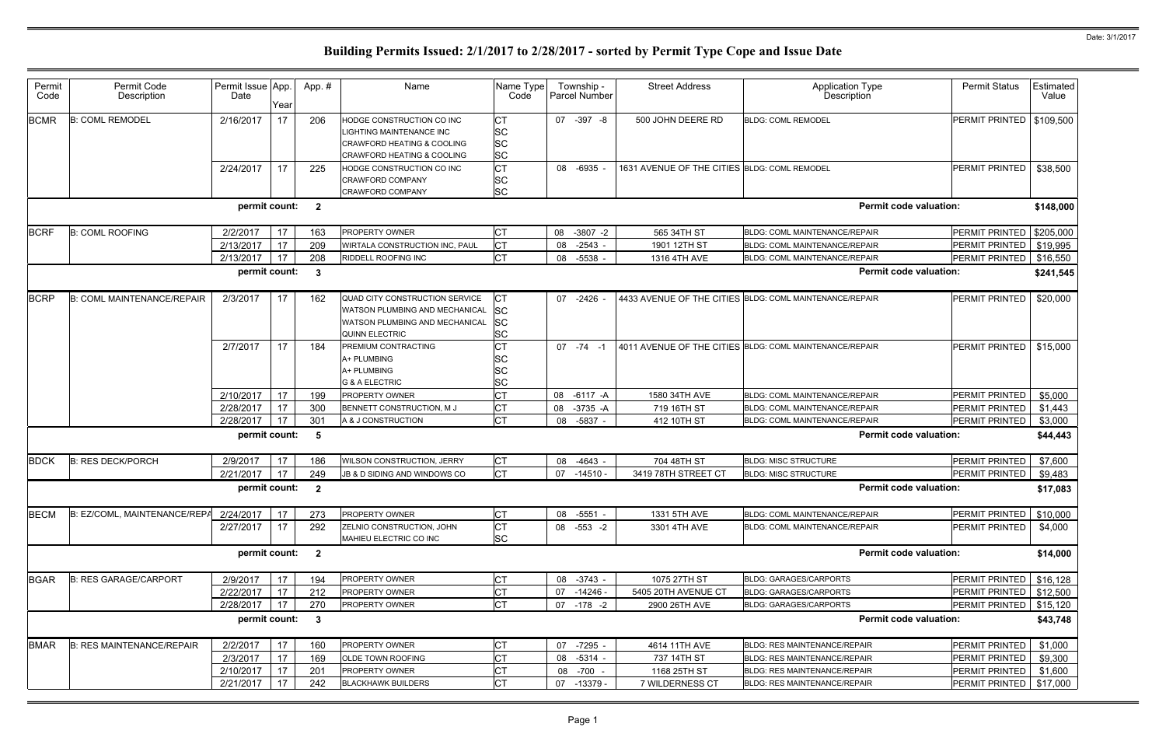| Permit<br>Code | Permit Code<br>Description        | Permit Issue App.<br>Date | Year | App.#                   | Name                                  | Name Type<br>Code | Township -<br>Parcel Number | <b>Street Address</b>                        | <b>Application Type</b><br>Description                  | <b>Permit Status</b>          | Estimated<br>Value |
|----------------|-----------------------------------|---------------------------|------|-------------------------|---------------------------------------|-------------------|-----------------------------|----------------------------------------------|---------------------------------------------------------|-------------------------------|--------------------|
| <b>BCMR</b>    | <b>B: COML REMODEL</b>            | 2/16/2017                 | 17   | 206                     | HODGE CONSTRUCTION CO INC             | СT                | 07 -397 -8                  | 500 JOHN DEERE RD                            | <b>BLDG: COML REMODEL</b>                               | PERMIT PRINTED                | \$109,500          |
|                |                                   |                           |      |                         | LIGHTING MAINTENANCE INC              | SC                |                             |                                              |                                                         |                               |                    |
|                |                                   |                           |      |                         | <b>CRAWFORD HEATING &amp; COOLING</b> | <b>SC</b>         |                             |                                              |                                                         |                               |                    |
|                |                                   |                           |      |                         | <b>CRAWFORD HEATING &amp; COOLING</b> | <b>SC</b>         |                             |                                              |                                                         |                               |                    |
|                |                                   | 2/24/2017                 | 17   | 225                     | HODGE CONSTRUCTION CO INC             | СT                | 08 -6935                    | 1631 AVENUE OF THE CITIES BLDG: COML REMODEL |                                                         | <b>PERMIT PRINTED</b>         | \$38,500           |
|                |                                   |                           |      |                         | <b>CRAWFORD COMPANY</b>               | SC                |                             |                                              |                                                         |                               |                    |
|                |                                   |                           |      |                         | CRAWFORD COMPANY                      | <b>SC</b>         |                             |                                              |                                                         |                               |                    |
|                |                                   | permit count: 2           |      |                         |                                       |                   |                             |                                              |                                                         | <b>Permit code valuation:</b> | \$148,000          |
| <b>BCRF</b>    | <b>B: COML ROOFING</b>            | 2/2/2017                  | 17   | 163                     | <b>PROPERTY OWNER</b>                 | <b>CT</b>         | 08 -3807 -2                 | 565 34TH ST                                  | <b>BLDG: COML MAINTENANCE/REPAIR</b>                    | PERMIT PRINTED                | \$205,000          |
|                |                                   | 2/13/2017                 | 17   | 209                     | WIRTALA CONSTRUCTION INC, PAUL        | <b>CT</b>         | $-2543$<br>08               | 1901 12TH ST                                 | <b>BLDG: COML MAINTENANCE/REPAIR</b>                    | PERMIT PRINTED                | \$19,995           |
|                |                                   | 2/13/2017                 | 17   | 208                     | RIDDELL ROOFING INC                   | lст               | -5538<br>08                 | 1316 4TH AVE                                 | <b>BLDG: COML MAINTENANCE/REPAIR</b>                    | PERMIT PRINTED                | \$16,550           |
|                |                                   | permit count:             |      | - 3                     |                                       |                   |                             |                                              |                                                         | <b>Permit code valuation:</b> | \$241,545          |
|                |                                   |                           |      |                         |                                       |                   |                             |                                              |                                                         |                               |                    |
| <b>BCRP</b>    | <b>B: COML MAINTENANCE/REPAIR</b> | 2/3/2017                  | 17   | 162                     | QUAD CITY CONSTRUCTION SERVICE        | СT                | 07 -2426                    |                                              | 4433 AVENUE OF THE CITIES BLDG: COML MAINTENANCE/REPAIR | PERMIT PRINTED                | \$20,000           |
|                |                                   |                           |      |                         | WATSON PLUMBING AND MECHANICAL        | SC                |                             |                                              |                                                         |                               |                    |
|                |                                   |                           |      |                         | WATSON PLUMBING AND MECHANICAL        | SC                |                             |                                              |                                                         |                               |                    |
|                |                                   |                           |      |                         | <b>QUINN ELECTRIC</b>                 | <b>SC</b>         |                             |                                              |                                                         |                               |                    |
|                |                                   | 2/7/2017                  | 17   | 184                     | PREMIUM CONTRACTING                   | <b>CT</b>         | $07 - 74 - 1$               |                                              | 4011 AVENUE OF THE CITIES BLDG: COML MAINTENANCE/REPAIR | PERMIT PRINTED                | \$15,000           |
|                |                                   |                           |      |                         | A+ PLUMBING                           | SC                |                             |                                              |                                                         |                               |                    |
|                |                                   |                           |      |                         | A+ PLUMBING                           | SC                |                             |                                              |                                                         |                               |                    |
|                |                                   |                           |      |                         | <b>G &amp; A ELECTRIC</b>             | <b>SC</b>         |                             |                                              |                                                         |                               |                    |
|                |                                   | 2/10/2017                 | 17   | 199                     | <b>PROPERTY OWNER</b>                 | <b>CT</b>         | 08<br>$-6117 - A$           | 1580 34TH AVE                                | BLDG: COML MAINTENANCE/REPAIR                           | PERMIT PRINTED                | \$5,000            |
|                |                                   | 2/28/2017                 | 17   | 300                     | BENNETT CONSTRUCTION, M J             | <b>CT</b>         | 08<br>$-3735 - A$           | 719 16TH ST                                  | <b>BLDG: COML MAINTENANCE/REPAIR</b>                    | PERMIT PRINTED                | \$1,443            |
|                |                                   | 2/28/2017                 | 17   | 301                     | A & J CONSTRUCTION                    | <b>CT</b>         | 08 -5837 -                  | 412 10TH ST                                  | <b>BLDG: COML MAINTENANCE/REPAIR</b>                    | PERMIT PRINTED                | \$3,000            |
|                |                                   | permit count:             |      | - 5                     |                                       |                   |                             |                                              |                                                         | <b>Permit code valuation:</b> | \$44,443           |
| <b>BDCK</b>    | <b>B: RES DECK/PORCH</b>          | 2/9/2017                  | 17   | 186                     | WILSON CONSTRUCTION, JERRY            | <b>CT</b>         | 08 -4643                    | 704 48TH ST                                  | <b>BLDG: MISC STRUCTURE</b>                             | <b>PERMIT PRINTED</b>         | \$7,600            |
|                |                                   | 2/21/2017                 | 17   | 249                     | JB & D SIDING AND WINDOWS CO          | <b>CT</b>         | 07<br>$-14510$              | 3419 78TH STREET CT                          | <b>BLDG: MISC STRUCTURE</b>                             | <b>PERMIT PRINTED</b>         | \$9,483            |
|                |                                   | permit count:             |      | $\overline{\mathbf{2}}$ |                                       |                   |                             |                                              |                                                         | <b>Permit code valuation:</b> | \$17,083           |
| <b>BECM</b>    | B: EZ/COML, MAINTENANCE/REPA      | 2/24/2017                 | 17   | 273                     | <b>PROPERTY OWNER</b>                 | <b>CT</b>         | 08 -5551 -                  | 1331 5TH AVE                                 | BLDG: COML MAINTENANCE/REPAIR                           | PERMIT PRINTED                | \$10,000           |
|                |                                   | 2/27/2017                 | 17   | 292                     | ZELNIO CONSTRUCTION, JOHN             | <b>CT</b>         | 08 -553 -2                  | 3301 4TH AVE                                 | <b>BLDG: COML MAINTENANCE/REPAIR</b>                    | PERMIT PRINTED                | \$4,000            |
|                |                                   |                           |      |                         | MAHIEU ELECTRIC CO INC                | <b>SC</b>         |                             |                                              |                                                         |                               |                    |
|                |                                   | permit count: 2           |      |                         |                                       |                   |                             |                                              |                                                         | <b>Permit code valuation:</b> | \$14,000           |
| <b>BGAR</b>    | <b>B: RES GARAGE/CARPORT</b>      | 2/9/2017                  | 17   | 194                     | PROPERTY OWNER                        | <b>CT</b>         | 08 -3743 -                  | 1075 27TH ST                                 | <b>BLDG: GARAGES/CARPORTS</b>                           | PERMIT PRINTED                | \$16,128           |
|                |                                   | 2/22/2017                 | 17   | 212                     | PROPERTY OWNER                        | <b>CT</b>         | 07 -14246 -                 | 5405 20TH AVENUE CT                          | <b>BLDG: GARAGES/CARPORTS</b>                           | PERMIT PRINTED                | \$12,500           |
|                |                                   | 2/28/2017                 | 17   | 270                     | PROPERTY OWNER                        | <b>CT</b>         | 07 -178 -2                  | 2900 26TH AVE                                | <b>BLDG: GARAGES/CARPORTS</b>                           | PERMIT PRINTED                | \$15,120           |
|                |                                   | permit count:             |      | $\overline{\mathbf{3}}$ |                                       |                   |                             |                                              |                                                         | <b>Permit code valuation:</b> | \$43,748           |
| <b>BMAR</b>    | <b>B: RES MAINTENANCE/REPAIR</b>  | 2/2/2017                  | 17   | 160                     | PROPERTY OWNER                        | <b>CT</b>         | 07<br>$-7295$ .             | 4614 11TH AVE                                | <b>BLDG: RES MAINTENANCE/REPAIR</b>                     | PERMIT PRINTED                | \$1,000            |
|                |                                   | 2/3/2017                  | 17   | 169                     | OLDE TOWN ROOFING                     | <b>CT</b>         | 08 -5314                    | 737 14TH ST                                  | BLDG: RES MAINTENANCE/REPAIR                            | PERMIT PRINTED                | \$9,300            |
|                |                                   | 2/10/2017                 | 17   | 201                     | PROPERTY OWNER                        | СT                | 08 -700 -                   | 1168 25TH ST                                 | BLDG: RES MAINTENANCE/REPAIR                            | PERMIT PRINTED                | \$1,600            |
|                |                                   |                           |      |                         | <b>BLACKHAWK BUILDERS</b>             | <b>CT</b>         |                             | 7 WILDERNESS CT                              | <b>BLDG: RES MAINTENANCE/REPAIR</b>                     | PERMIT PRINTED                |                    |
|                |                                   | 2/21/2017                 | 17   | 242                     |                                       |                   | 07 -13379 -                 |                                              |                                                         |                               | \$17,000           |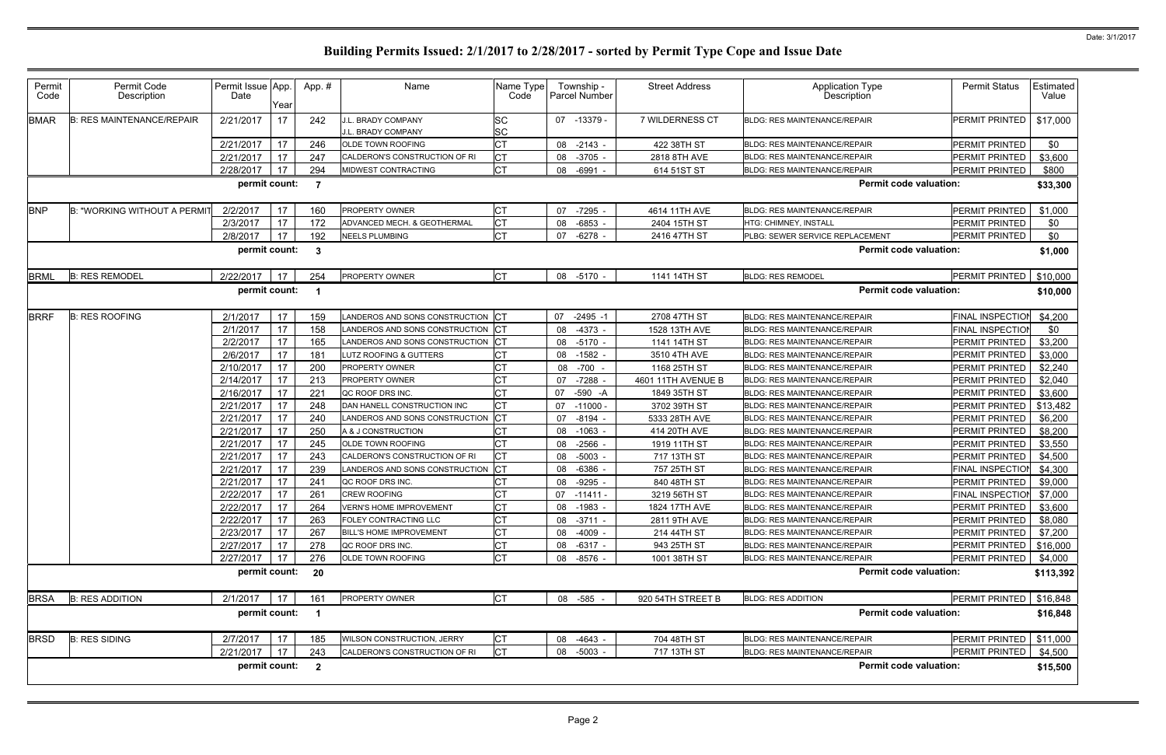| Permit<br>Code | Permit Code<br>Description          | Permit Issue App.<br>Date | Year       | App.#                   | Name                                     | Name Type<br>Code | Township -<br>Parcel Number | <b>Street Address</b> | <b>Application Type</b><br>Description | <b>Permit Status</b>      | Estimated<br>Value |
|----------------|-------------------------------------|---------------------------|------------|-------------------------|------------------------------------------|-------------------|-----------------------------|-----------------------|----------------------------------------|---------------------------|--------------------|
| <b>BMAR</b>    | <b>B: RES MAINTENANCE/REPAIR</b>    | 2/21/2017                 | 17         | 242                     | J.L. BRADY COMPANY<br>J.L. BRADY COMPANY | SC<br><b>SC</b>   | 07 -13379 -                 | 7 WILDERNESS CT       | <b>BLDG: RES MAINTENANCE/REPAIR</b>    | PERMIT PRINTED            | \$17,000           |
|                |                                     | 2/21/2017                 | 17         | 246                     | OLDE TOWN ROOFING                        | <b>CT</b>         | 08 -2143 -                  | 422 38TH ST           | <b>BLDG: RES MAINTENANCE/REPAIR</b>    | <b>PERMIT PRINTED</b>     | \$0                |
|                |                                     | 2/21/2017                 | 17         | 247                     | CALDERON'S CONSTRUCTION OF RI            | IСТ               | 08<br>$-3705$               | 2818 8TH AVE          | <b>BLDG: RES MAINTENANCE/REPAIR</b>    | PERMIT PRINTED            | \$3,600            |
|                |                                     | 2/28/2017                 | 17         | 294                     | MIDWEST CONTRACTING                      | <b>CT</b>         | 08<br>-6991                 | 614 51ST ST           | BLDG: RES MAINTENANCE/REPAIR           | PERMIT PRINTED            | \$800              |
|                |                                     | permit count:             |            | $\overline{7}$          |                                          |                   |                             |                       | <b>Permit code valuation:</b>          |                           | \$33,300           |
| <b>BNP</b>     | <b>B: "WORKING WITHOUT A PERMIT</b> | 2/2/2017                  | 17         | 160                     | <b>PROPERTY OWNER</b>                    | <b>CT</b>         | -7295<br>07                 | 4614 11TH AVE         | <b>BLDG: RES MAINTENANCE/REPAIR</b>    | <b>PERMIT PRINTED</b>     | \$1,000            |
|                |                                     | 2/3/2017                  | 17         | 172                     | ADVANCED MECH. & GEOTHERMAL              | Iст               | $-6853$<br>08               | 2404 15TH ST          | HTG: CHIMNEY, INSTALL                  | PERMIT PRINTED            | \$0                |
|                |                                     | 2/8/2017                  | 17         | 192                     | <b>NEELS PLUMBING</b>                    | Iст               | 07<br>-6278                 | 2416 47TH ST          | PLBG: SEWER SERVICE REPLACEMENT        | <b>PERMIT PRINTED</b>     | \$0                |
|                |                                     | permit count:             |            | - 3                     |                                          |                   |                             |                       | <b>Permit code valuation:</b>          |                           | \$1,000            |
| <b>BRML</b>    | <b>B: RES REMODEL</b>               | 2/22/2017                 | 17         | 254                     | <b>PROPERTY OWNER</b>                    | <b>CT</b>         | 08 -5170 -                  | 1141 14TH ST          | <b>BLDG: RES REMODEL</b>               | PERMIT PRINTED            | \$10,000           |
|                |                                     | permit count:             |            | $\mathbf 1$             |                                          |                   |                             |                       | <b>Permit code valuation:</b>          |                           | \$10,000           |
| <b>BRRF</b>    | <b>B: RES ROOFING</b>               | 2/1/2017                  | 17         | 159                     | LANDEROS AND SONS CONSTRUCTION CT        |                   | 07<br>$-2495 - 1$           | 2708 47TH ST          | <b>BLDG: RES MAINTENANCE/REPAIR</b>    | <b>FINAL INSPECTIOI</b>   | \$4,200            |
|                |                                     | 2/1/2017                  | 17         | 158                     | LANDEROS AND SONS CONSTRUCTION CT        |                   | 08<br>-4373                 | 1528 13TH AVE         | <b>BLDG: RES MAINTENANCE/REPAIR</b>    | <b>FINAL INSPECTION</b>   | \$0                |
|                |                                     | 2/2/2017                  | 17         | 165                     | LANDEROS AND SONS CONSTRUCTION CT        |                   | 08 -5170 -                  | 1141 14TH ST          | <b>BLDG: RES MAINTENANCE/REPAIR</b>    | PERMIT PRINTED            | \$3,200            |
|                |                                     | 2/6/2017                  | 17         | 181                     | LUTZ ROOFING & GUTTERS                   | <b>CT</b>         | $-1582$<br>08               | 3510 4TH AVE          | <b>BLDG: RES MAINTENANCE/REPAIR</b>    | PERMIT PRINTED            | \$3,000            |
|                |                                     | 2/10/2017                 | 17         | 200                     | <b>PROPERTY OWNER</b>                    | СT                | $-700 -$<br>08              | 1168 25TH ST          | <b>BLDG: RES MAINTENANCE/REPAIR</b>    | <b>PERMIT PRINTED</b>     | \$2,240            |
|                |                                     | 2/14/2017                 | 17         | 213                     | <b>PROPERTY OWNER</b>                    | <b>CT</b>         | $-7288$<br>07               | 4601 11TH AVENUE B    | <b>BLDG: RES MAINTENANCE/REPAIR</b>    | PERMIT PRINTED            | \$2,040            |
|                |                                     | 2/16/2017                 | 17         | 221                     | QC ROOF DRS INC.                         | <b>CT</b>         | 07<br>-590 -A               | 1849 35TH ST          | <b>BLDG: RES MAINTENANCE/REPAIR</b>    | PERMIT PRINTED            | \$3,600            |
|                |                                     | 2/21/2017                 | 17         | 248                     | DAN HANELL CONSTRUCTION INC              | <b>CT</b>         | 07<br>$-11000$              | 3702 39TH ST          | <b>BLDG: RES MAINTENANCE/REPAIR</b>    | PERMIT PRINTED            | \$13,482           |
|                |                                     | 2/21/2017                 | 17         | 240                     | LANDEROS AND SONS CONSTRUCTION CT        |                   | 07<br>-8194                 | 5333 28TH AVE         | <b>BLDG: RES MAINTENANCE/REPAIR</b>    | PERMIT PRINTED            | \$6,200            |
|                |                                     | 2/21/2017                 | 17         | 250                     | A & J CONSTRUCTION                       | СT                | 08 -1063                    | 414 20TH AVE          | <b>BLDG: RES MAINTENANCE/REPAIR</b>    | PERMIT PRINTED            | \$8,200            |
|                |                                     | 2/21/2017                 | 17         | 245                     | OLDE TOWN ROOFING                        | <b>CT</b>         | $-2566$<br>08               | 1919 11TH ST          | <b>BLDG: RES MAINTENANCE/REPAIR</b>    | PERMIT PRINTED            | \$3,550            |
|                |                                     | 2/21/2017                 | 17         | 243                     | CALDERON'S CONSTRUCTION OF RI            | Iст               | 08<br>$-5003$               | 717 13TH ST           | <b>BLDG: RES MAINTENANCE/REPAIR</b>    | PERMIT PRINTED            | \$4,500            |
|                |                                     | 2/21/2017                 | 17         | 239                     | LANDEROS AND SONS CONSTRUCTION           | Iст               | -6386<br>08                 | 757 25TH ST           | <b>BLDG: RES MAINTENANCE/REPAIR</b>    | FINAL INSPECTION          | \$4,300            |
|                |                                     | 2/21/2017                 | 17         | 241                     | QC ROOF DRS INC.                         | СT                | -9295<br>08                 | 840 48TH ST           | <b>BLDG: RES MAINTENANCE/REPAIR</b>    | <b>PERMIT PRINTED</b>     | \$9,000            |
|                |                                     | 2/22/2017                 | 17         | 261                     | <b>CREW ROOFING</b>                      | <b>CT</b>         | 07 -11411                   | 3219 56TH ST          | <b>BLDG: RES MAINTENANCE/REPAIR</b>    | <b>FINAL INSPECTION</b>   | \$7,000            |
|                |                                     | 2/22/2017                 | $\vert$ 17 | 264                     | <b>VERN'S HOME IMPROVEMENT</b>           | IСТ               | 08 -1983 -                  | 1824 17TH AVE         | <b>BLDG: RES MAINTENANCE/REPAIR</b>    | PERMIT PRINTED            | \$3,600            |
|                |                                     | 2/22/2017                 | 17         | 263                     | FOLEY CONTRACTING LLC                    | <b>CT</b>         | 08 -3711 -                  | 2811 9TH AVE          | <b>BLDG: RES MAINTENANCE/REPAIR</b>    | PERMIT PRINTED            | \$8,080            |
|                |                                     | 2/23/2017                 | 17         | 267                     | <b>BILL'S HOME IMPROVEMENT</b>           | <b>CT</b>         | $-4009 -$<br>08             | 214 44TH ST           | <b>BLDG: RES MAINTENANCE/REPAIR</b>    | PERMIT PRINTED            | \$7,200            |
|                |                                     | 2/27/2017                 | 17         | 278                     | QC ROOF DRS INC.                         | <b>CT</b>         | 08 -6317 -                  | 943 25TH ST           | <b>BLDG: RES MAINTENANCE/REPAIR</b>    | PERMIT PRINTED            | \$16,000           |
|                |                                     | 2/27/2017                 | 17         | 276                     | OLDE TOWN ROOFING                        | <b>CT</b>         | 08 -8576 -                  | 1001 38TH ST          | <b>BLDG: RES MAINTENANCE/REPAIR</b>    | PERMIT PRINTED            | \$4,000            |
|                |                                     | permit count: 20          |            |                         |                                          |                   |                             |                       | <b>Permit code valuation:</b>          |                           | \$113,392          |
| <b>BRSA</b>    | <b>B: RES ADDITION</b>              | 2/1/2017                  | 17         | 161                     | PROPERTY OWNER                           | <b>CT</b>         | 08 -585 -                   | 920 54TH STREET B     | <b>BLDG: RES ADDITION</b>              | PERMIT PRINTED   \$16,848 |                    |
|                |                                     | permit count:             |            | $\overline{\mathbf{1}}$ |                                          |                   |                             |                       | <b>Permit code valuation:</b>          |                           | \$16,848           |
| <b>BRSD</b>    | <b>B: RES SIDING</b>                | 2/7/2017                  | 17         | 185                     | WILSON CONSTRUCTION, JERRY               | <b>CT</b>         | 08 -4643                    | 704 48TH ST           | <b>BLDG: RES MAINTENANCE/REPAIR</b>    | PERMIT PRINTED   \$11,000 |                    |
|                |                                     | 2/21/2017                 | 17         | 243                     | CALDERON'S CONSTRUCTION OF RI            | <b>CT</b>         | 08 -5003 -                  | 717 13TH ST           | <b>BLDG: RES MAINTENANCE/REPAIR</b>    | PERMIT PRINTED            | \$4,500            |
|                |                                     | permit count: 2           |            |                         |                                          |                   |                             |                       | <b>Permit code valuation:</b>          |                           | \$15,500           |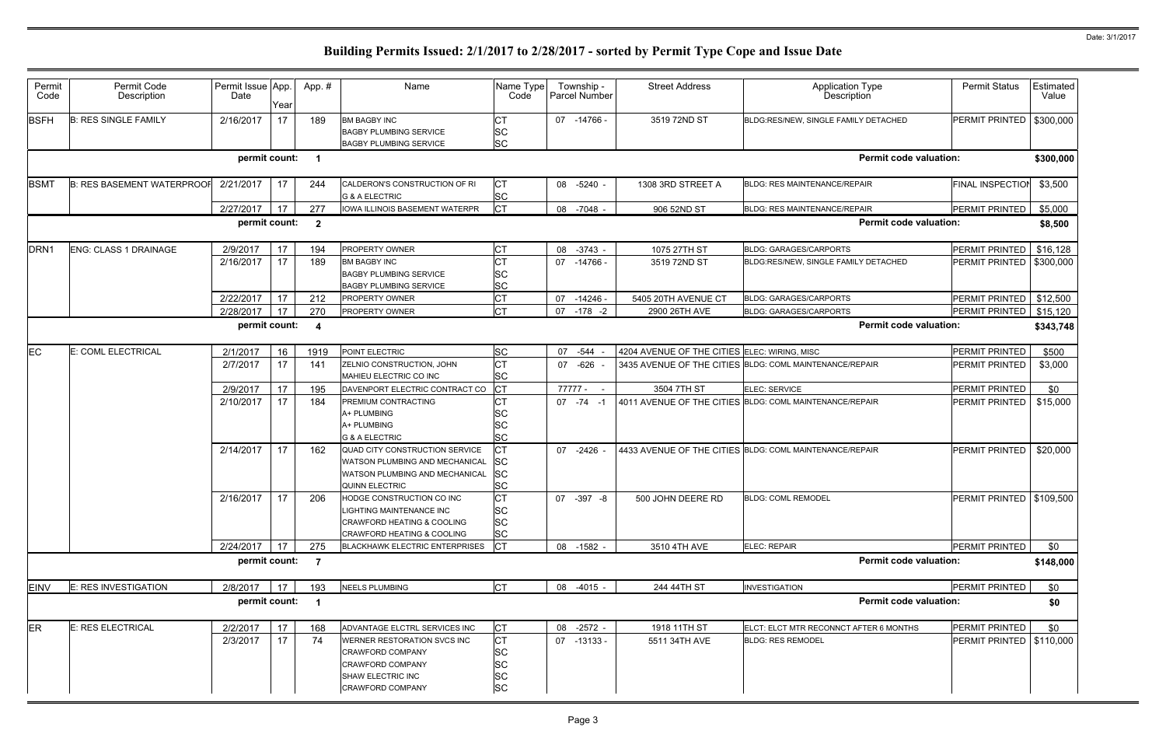| Permit<br>Code                                                                       | Permit Code<br>Description        | Permit Issue App.<br>Date | Year | App.#                   | Name                                                                                                                         | Name Type<br>Code                                      | Township -<br><b>Parcel Number</b> | <b>Street Address</b>                        | Application Type<br>Description                         | <b>Permit Status</b>       | Estimated<br>Value   |  |
|--------------------------------------------------------------------------------------|-----------------------------------|---------------------------|------|-------------------------|------------------------------------------------------------------------------------------------------------------------------|--------------------------------------------------------|------------------------------------|----------------------------------------------|---------------------------------------------------------|----------------------------|----------------------|--|
| <b>BSFH</b>                                                                          | <b>B: RES SINGLE FAMILY</b>       | 2/16/2017                 | 17   | 189                     | <b>BM BAGBY INC</b><br><b>BAGBY PLUMBING SERVICE</b>                                                                         | <b>SC</b>                                              | 07 -14766 -                        | 3519 72ND ST                                 | BLDG:RES/NEW, SINGLE FAMILY DETACHED                    | PERMIT PRINTED             | \$300,000            |  |
|                                                                                      |                                   |                           |      |                         | <b>BAGBY PLUMBING SERVICE</b>                                                                                                | <b>SC</b>                                              |                                    |                                              |                                                         |                            |                      |  |
|                                                                                      |                                   | permit count:             |      | $\overline{\mathbf{1}}$ |                                                                                                                              |                                                        |                                    |                                              | <b>Permit code valuation:</b>                           |                            | \$300,000            |  |
| <b>BSMT</b>                                                                          | <b>B: RES BASEMENT WATERPROOF</b> | 2/21/2017                 | 17   | 244                     | CALDERON'S CONSTRUCTION OF RI<br><b>G &amp; A ELECTRIC</b>                                                                   | IСТ<br><b>SC</b>                                       | 08 -5240 -                         | 1308 3RD STREET A                            | <b>BLDG: RES MAINTENANCE/REPAIR</b>                     | FINAL INSPECTION           | \$3,500              |  |
|                                                                                      |                                   | 2/27/2017                 | 17   | 277                     | <b>IOWA ILLINOIS BASEMENT WATERPR</b>                                                                                        | <b>CT</b>                                              | 08 -7048 -                         | 906 52ND ST                                  | BLDG: RES MAINTENANCE/REPAIR                            | PERMIT PRINTED             | \$5,000              |  |
| <b>Permit code valuation:</b><br>permit count:<br>$\overline{\mathbf{2}}$<br>\$8,500 |                                   |                           |      |                         |                                                                                                                              |                                                        |                                    |                                              |                                                         |                            |                      |  |
| DRN <sub>1</sub>                                                                     | ENG: CLASS 1 DRAINAGE             | 2/9/2017                  | 17   | 194                     | PROPERTY OWNER                                                                                                               | <b>CT</b>                                              | 08 -3743 -                         | 1075 27TH ST                                 | <b>BLDG: GARAGES/CARPORTS</b>                           | PERMIT PRINTED             | \$16,128             |  |
|                                                                                      |                                   | 2/16/2017                 | 17   | 189                     | <b>BM BAGBY INC</b><br><b>BAGBY PLUMBING SERVICE</b>                                                                         | CT<br><b>SC</b>                                        | 07 -14766 -                        | 3519 72ND ST                                 | BLDG:RES/NEW, SINGLE FAMILY DETACHED                    | PERMIT PRINTED   \$300,000 |                      |  |
|                                                                                      |                                   | 2/22/2017                 | 17   | 212                     | <b>BAGBY PLUMBING SERVICE</b><br><b>PROPERTY OWNER</b>                                                                       | <b>SC</b><br><b>CT</b>                                 | 07                                 | 5405 20TH AVENUE CT                          | <b>BLDG: GARAGES/CARPORTS</b>                           | PERMIT PRINTED             |                      |  |
|                                                                                      |                                   | 2/28/2017                 | 17   | 270                     | PROPERTY OWNER                                                                                                               | <b>CT</b>                                              | $-14246$<br>07<br>-178 -2          | 2900 26TH AVE                                | <b>BLDG: GARAGES/CARPORTS</b>                           | PERMIT PRINTED             | \$12,500<br>\$15,120 |  |
|                                                                                      |                                   | permit count:             |      | $\overline{4}$          |                                                                                                                              |                                                        |                                    |                                              | <b>Permit code valuation:</b>                           |                            | \$343,748            |  |
|                                                                                      |                                   |                           |      |                         |                                                                                                                              |                                                        |                                    |                                              |                                                         |                            |                      |  |
| <b>EC</b>                                                                            | E: COML ELECTRICAL                | 2/1/2017                  | 16   | 1919                    | POINT ELECTRIC                                                                                                               | <b>SC</b>                                              | 07 - 544 -                         | 4204 AVENUE OF THE CITIES ELEC: WIRING, MISC |                                                         | PERMIT PRINTED             | \$500                |  |
|                                                                                      |                                   | 2/7/2017                  | 17   | 141                     | ZELNIO CONSTRUCTION, JOHN<br>MAHIEU ELECTRIC CO INC                                                                          | <b>CT</b><br><b>SC</b>                                 | 07 - 626 -                         |                                              | 3435 AVENUE OF THE CITIES BLDG: COML MAINTENANCE/REPAIR | PERMIT PRINTED             | \$3,000              |  |
|                                                                                      |                                   | 2/9/2017                  | 17   | 195                     | DAVENPORT ELECTRIC CONTRACT CO                                                                                               | <b>CT</b>                                              | 77777 -                            | 3504 7TH ST                                  | <b>ELEC: SERVICE</b>                                    | PERMIT PRINTED             | \$0                  |  |
|                                                                                      |                                   | 2/10/2017                 | 17   | 184                     | PREMIUM CONTRACTING<br>A+ PLUMBING<br>A+ PLUMBING<br><b>G &amp; A ELECTRIC</b>                                               | СT<br><b>SC</b><br><b>SC</b><br><b>SC</b>              | $07 - 74 - 1$                      |                                              | 4011 AVENUE OF THE CITIES BLDG: COML MAINTENANCE/REPAIR | PERMIT PRINTED             | \$15,000             |  |
|                                                                                      |                                   | 2/14/2017                 | 17   | 162                     | QUAD CITY CONSTRUCTION SERVICE<br>WATSON PLUMBING AND MECHANICAL<br>WATSON PLUMBING AND MECHANICAL<br>QUINN ELECTRIC         | <b>CT</b><br><b>SC</b><br><b>SC</b><br><b>SC</b>       | 07 -2426                           |                                              | 4433 AVENUE OF THE CITIES BLDG: COML MAINTENANCE/REPAIR | PERMIT PRINTED             | \$20,000             |  |
|                                                                                      |                                   | 2/16/2017                 | 17   | 206                     | HODGE CONSTRUCTION CO INC<br>LIGHTING MAINTENANCE INC<br><b>CRAWFORD HEATING &amp; COOLING</b><br>CRAWFORD HEATING & COOLING | 'nт<br><b>SC</b><br><b>SC</b><br><b>SC</b>             | 07 - 397 - 8                       | 500 JOHN DEERE RD                            | <b>BLDG: COML REMODEL</b>                               | PERMIT PRINTED   \$109,500 |                      |  |
|                                                                                      |                                   | 2/24/2017                 | 17   | 275                     | <b>BLACKHAWK ELECTRIC ENTERPRISES</b>                                                                                        | <b>CT</b>                                              | 08 -1582 -                         | 3510 4TH AVE                                 | ELEC: REPAIR                                            | PERMIT PRINTED             | \$0                  |  |
|                                                                                      |                                   | permit count:             |      | $\overline{7}$          |                                                                                                                              |                                                        |                                    |                                              | <b>Permit code valuation:</b>                           |                            | \$148,000            |  |
| <b>EINV</b>                                                                          | E: RES INVESTIGATION              | 2/8/2017                  | 17   | 193                     | <b>NEELS PLUMBING</b>                                                                                                        | <b>CT</b>                                              | 08 -4015 -                         | 244 44TH ST                                  | <b>INVESTIGATION</b>                                    | PERMIT PRINTED             | \$0                  |  |
|                                                                                      |                                   | permit count:             |      | $\overline{\mathbf{1}}$ |                                                                                                                              |                                                        |                                    |                                              | <b>Permit code valuation:</b>                           |                            | \$0                  |  |
| <b>ER</b>                                                                            | E: RES ELECTRICAL                 | 2/2/2017                  | 17   | 168                     | ADVANTAGE ELCTRL SERVICES INC                                                                                                | IСТ                                                    | 08 -2572 -                         | 1918 11TH ST                                 | ELCT: ELCT MTR RECONNCT AFTER 6 MONTHS                  | PERMIT PRINTED             | \$0                  |  |
|                                                                                      |                                   | 2/3/2017                  | 17   | 74                      | WERNER RESTORATION SVCS INC<br><b>CRAWFORD COMPANY</b><br>CRAWFORD COMPANY<br>SHAW ELECTRIC INC<br>CRAWFORD COMPANY          | <b>CT</b><br><b>SC</b><br>SC<br><b>SC</b><br><b>SC</b> | 07 -13133 -                        | 5511 34TH AVE                                | <b>BLDG: RES REMODEL</b>                                | PERMIT PRINTED   \$110,000 |                      |  |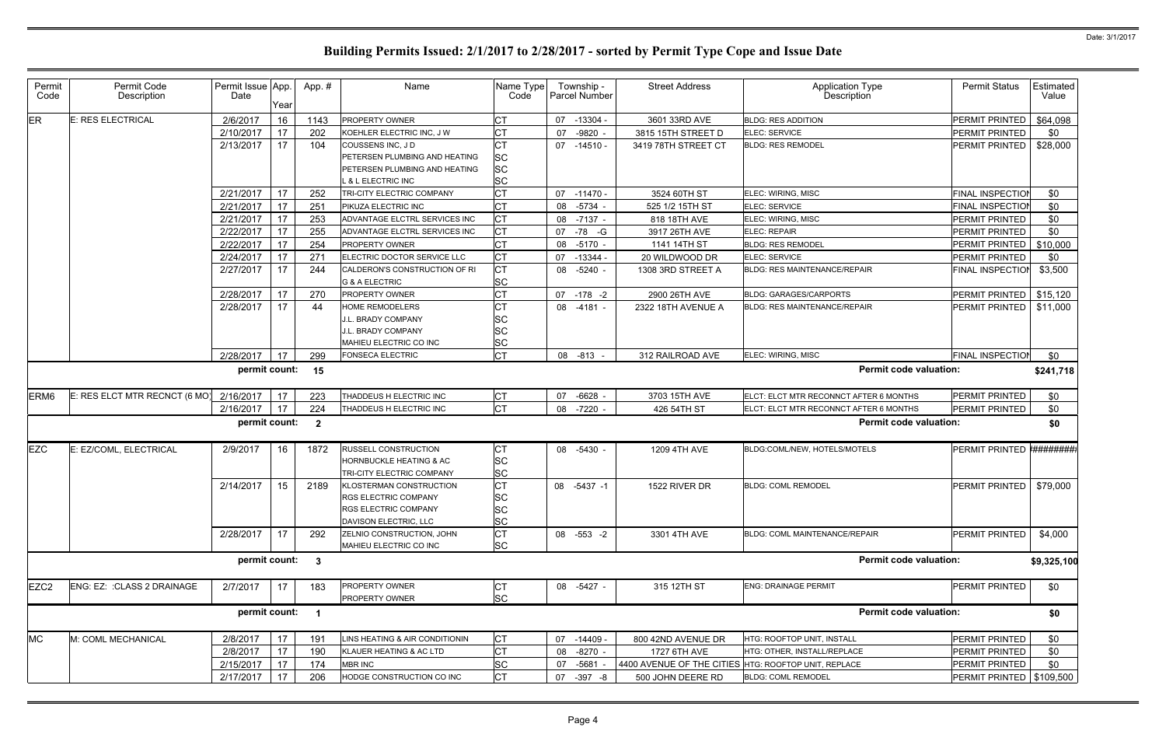| Permit<br>Code   | Permit Code<br>Description    | Permit Issue App.<br>Date | Year | App.#                   | Name                                            | Name Type<br>Code      | Township -<br><b>Parcel Number</b> | <b>Street Address</b>                                | <b>Application Type</b><br>Description | <b>Permit Status</b>       | Estimated<br>Value |
|------------------|-------------------------------|---------------------------|------|-------------------------|-------------------------------------------------|------------------------|------------------------------------|------------------------------------------------------|----------------------------------------|----------------------------|--------------------|
| ER               | E: RES ELECTRICAL             | 2/6/2017                  | 16   | 1143                    | <b>PROPERTY OWNER</b>                           | lСТ                    | 07<br>$-13304$                     | 3601 33RD AVE                                        | <b>BLDG: RES ADDITION</b>              | PERMIT PRINTED             | \$64,098           |
|                  |                               | 2/10/2017                 | 17   | 202                     | KOEHLER ELECTRIC INC. J W                       | <b>CT</b>              | $-9820$<br>07                      | 3815 15TH STREET D                                   | ELEC: SERVICE                          | <b>PERMIT PRINTED</b>      | \$0                |
|                  |                               | 2/13/2017                 | 17   | 104                     | COUSSENS INC, JD                                | <b>CT</b>              | 07 -14510 -                        | 3419 78TH STREET CT                                  | <b>BLDG: RES REMODEL</b>               | PERMIT PRINTED             | \$28,000           |
|                  |                               |                           |      |                         | PETERSEN PLUMBING AND HEATING                   | <b>SC</b>              |                                    |                                                      |                                        |                            |                    |
|                  |                               |                           |      |                         | PETERSEN PLUMBING AND HEATING                   | <b>SC</b>              |                                    |                                                      |                                        |                            |                    |
|                  |                               |                           |      |                         | <b>&amp; L ELECTRIC INC</b>                     | <b>SC</b>              |                                    |                                                      |                                        |                            |                    |
|                  |                               | 2/21/2017                 | 17   | 252                     | TRI-CITY ELECTRIC COMPANY                       | <b>CT</b>              | 07 -11470 -                        | 3524 60TH ST                                         | ELEC: WIRING, MISC                     | FINAL INSPECTION           | \$0                |
|                  |                               | 2/21/2017                 | 17   | 251                     | PIKUZA ELECTRIC INC                             | <b>CT</b>              | 08 -5734                           | 525 1/2 15TH ST                                      | ELEC: SERVICE                          | <b>FINAL INSPECTION</b>    | \$0                |
|                  |                               | 2/21/2017                 | 17   | 253                     | ADVANTAGE ELCTRL SERVICES INC                   | <b>CT</b>              | 08 -7137 -                         | 818 18TH AVE                                         | ELEC: WIRING, MISC                     | PERMIT PRINTED             | \$0                |
|                  |                               | 2/22/2017                 | 17   | 255                     | ADVANTAGE ELCTRL SERVICES INC                   | <b>CT</b>              | -78 -G<br>07                       | 3917 26TH AVE                                        | ELEC: REPAIR                           | PERMIT PRINTED             | \$0                |
|                  |                               | 2/22/2017                 | 17   | 254                     | <b>PROPERTY OWNER</b>                           | <b>CT</b>              | 08 -5170                           | 1141 14TH ST                                         | <b>BLDG: RES REMODEL</b>               | PERMIT PRINTED             | \$10,000           |
|                  |                               | 2/24/2017                 | 17   | 271                     | ELECTRIC DOCTOR SERVICE LLC                     | СT                     | 07<br>$-13344-$                    | 20 WILDWOOD DR                                       | ELEC: SERVICE                          | PERMIT PRINTED             | \$0                |
|                  |                               | 2/27/2017                 | 17   | 244                     | CALDERON'S CONSTRUCTION OF RI<br>G & A ELECTRIC | <b>CT</b><br><b>SC</b> | 08 -5240 -                         | 1308 3RD STREET A                                    | BLDG: RES MAINTENANCE/REPAIR           | FINAL INSPECTION           | \$3,500            |
|                  |                               | 2/28/2017                 | 17   | 270                     | <b>PROPERTY OWNER</b>                           | <b>CT</b>              | 07 -178 -2                         | 2900 26TH AVE                                        | <b>BLDG: GARAGES/CARPORTS</b>          | PERMIT PRINTED             | \$15,120           |
|                  |                               | 2/28/2017                 | 17   | 44                      | <b>HOME REMODELERS</b>                          | <b>CT</b>              | 08 -4181 -                         | 2322 18TH AVENUE A                                   | <b>BLDG: RES MAINTENANCE/REPAIR</b>    | <b>PERMIT PRINTED</b>      | \$11,000           |
|                  |                               |                           |      |                         | <b>J.L. BRADY COMPANY</b>                       | <b>SC</b>              |                                    |                                                      |                                        |                            |                    |
|                  |                               |                           |      |                         | J.L. BRADY COMPANY                              | <b>SC</b>              |                                    |                                                      |                                        |                            |                    |
|                  |                               |                           |      |                         | MAHIEU ELECTRIC CO INC                          | <b>SC</b>              |                                    |                                                      |                                        |                            |                    |
|                  |                               | 2/28/2017                 | 17   | 299                     | <b>FONSECA ELECTRIC</b>                         | <b>CT</b>              | 08 -813                            | 312 RAILROAD AVE                                     | ELEC: WIRING, MISC                     | FINAL INSPECTION           | \$0                |
|                  |                               | permit count:             |      | 15                      |                                                 |                        |                                    |                                                      | <b>Permit code valuation:</b>          |                            | \$241,718          |
| ERM <sub>6</sub> | E: RES ELCT MTR RECNCT (6 MO) | 2/16/2017                 | 17   | 223                     | THADDEUS H ELECTRIC INC                         | IСТ                    | 07 -6628 -                         | 3703 15TH AVE                                        | ELCT: ELCT MTR RECONNCT AFTER 6 MONTHS | PERMIT PRINTED             | \$0                |
|                  |                               | 2/16/2017                 | 17   | 224                     | THADDEUS H ELECTRIC INC                         | lст                    | 08 -7220                           | 426 54TH ST                                          | ELCT: ELCT MTR RECONNCT AFTER 6 MONTHS | PERMIT PRINTED             | \$0                |
|                  |                               | permit count:             |      | $\overline{\mathbf{2}}$ |                                                 |                        |                                    |                                                      | <b>Permit code valuation:</b>          |                            | \$0                |
| <b>EZC</b>       | E: EZ/COML, ELECTRICAL        | 2/9/2017                  | 16   | 1872                    | <b>RUSSELL CONSTRUCTION</b>                     | <b>CT</b>              | 08 -5430 -                         | 1209 4TH AVE                                         | BLDG:COML/NEW, HOTELS/MOTELS           | PERMIT PRINTED #########   |                    |
|                  |                               |                           |      |                         | <b>HORNBUCKLE HEATING &amp; AC</b>              | <b>SC</b>              |                                    |                                                      |                                        |                            |                    |
|                  |                               |                           |      |                         | TRI-CITY ELECTRIC COMPANY                       | <b>SC</b>              |                                    |                                                      |                                        |                            |                    |
|                  |                               | 2/14/2017                 | 15   | 2189                    | KLOSTERMAN CONSTRUCTION                         | <b>CT</b>              | 08 -5437 -1                        | 1522 RIVER DR                                        | <b>BLDG: COML REMODEL</b>              | PERMIT PRINTED             | \$79,000           |
|                  |                               |                           |      |                         | <b>RGS ELECTRIC COMPANY</b>                     | <b>SC</b>              |                                    |                                                      |                                        |                            |                    |
|                  |                               |                           |      |                         | <b>RGS ELECTRIC COMPANY</b>                     | <b>SC</b>              |                                    |                                                      |                                        |                            |                    |
|                  |                               |                           |      |                         | DAVISON ELECTRIC, LLC                           | <b>SC</b>              |                                    |                                                      |                                        |                            |                    |
|                  |                               | 2/28/2017                 | 17   | 292                     | ZELNIO CONSTRUCTION, JOHN                       | <b>CT</b>              | 08 -553 -2                         | 3301 4TH AVE                                         | <b>BLDG: COML MAINTENANCE/REPAIR</b>   | PERMIT PRINTED             | \$4,000            |
|                  |                               |                           |      |                         | MAHIEU ELECTRIC CO INC                          | <b>SC</b>              |                                    |                                                      |                                        |                            |                    |
|                  |                               | permit count:             |      | $\overline{\mathbf{3}}$ |                                                 |                        |                                    |                                                      | <b>Permit code valuation:</b>          |                            | \$9,325,100        |
| EZC <sub>2</sub> | ENG: EZ: : CLASS 2 DRAINAGE   | 2/7/2017                  | 17   | 183                     | PROPERTY OWNER                                  | IСТ                    | 08 -5427 -                         | 315 12TH ST                                          | <b>ENG: DRAINAGE PERMIT</b>            | PERMIT PRINTED             | \$0                |
|                  |                               |                           |      |                         | PROPERTY OWNER                                  | <b>SC</b>              |                                    |                                                      |                                        |                            |                    |
|                  |                               | permit count:             |      | $\blacksquare$          |                                                 |                        |                                    |                                                      | <b>Permit code valuation:</b>          |                            | \$0                |
| <b>MC</b>        | M: COML MECHANICAL            | 2/8/2017                  | 17   | 191                     | INS HEATING & AIR CONDITIONIN                   | <b>CT</b>              | 07 -14409                          | 800 42ND AVENUE DR                                   | HTG: ROOFTOP UNIT, INSTALL             | PERMIT PRINTED             | \$0                |
|                  |                               | 2/8/2017                  | 17   | 190                     | KLAUER HEATING & AC LTD                         | <b>CT</b>              | 08<br>-8270 -                      | 1727 6TH AVE                                         | HTG: OTHER, INSTALL/REPLACE            | PERMIT PRINTED             | \$0                |
|                  |                               | 2/15/2017                 | 17   | 174                     | <b>MBR INC</b>                                  | <b>SC</b>              | $-5681$<br>07                      | 4400 AVENUE OF THE CITIES HTG: ROOFTOP UNIT, REPLACE |                                        | PERMIT PRINTED             | \$0                |
|                  |                               | 2/17/2017                 | 17   | 206                     | HODGE CONSTRUCTION CO INC                       | Iст                    | 07<br>$-397 - 8$                   | 500 JOHN DEERE RD                                    | <b>BLDG: COML REMODEL</b>              | PERMIT PRINTED   \$109,500 |                    |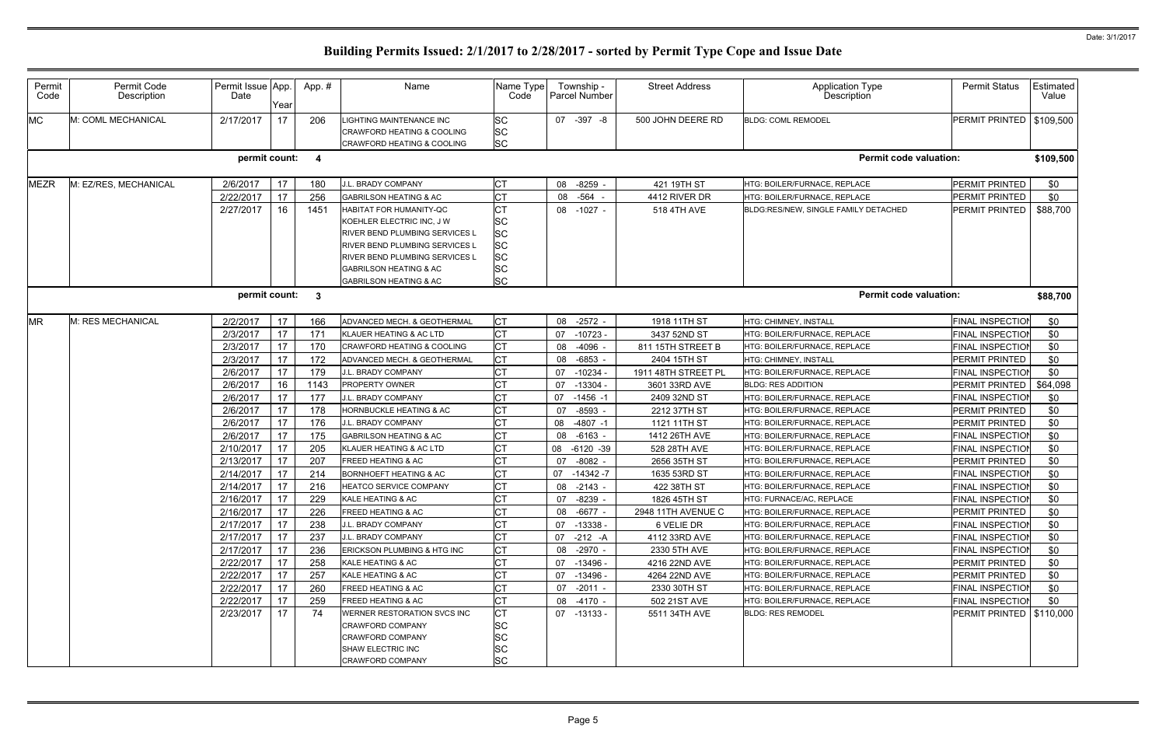| Permit<br>Code | Permit Code<br>Description | Permit Issue App.<br>Date | Year | App.# | Name                                                                                                                                                                                                                      | Name Type<br>Code                                                                       |    | Township -<br><b>Parcel Number</b> | <b>Street Address</b> | <b>Application Type</b><br>Description | <b>Permit Status</b>       | Estimated<br>Value |
|----------------|----------------------------|---------------------------|------|-------|---------------------------------------------------------------------------------------------------------------------------------------------------------------------------------------------------------------------------|-----------------------------------------------------------------------------------------|----|------------------------------------|-----------------------|----------------------------------------|----------------------------|--------------------|
| <b>MC</b>      | M: COML MECHANICAL         | 2/17/2017                 | 17   | 206   | IGHTING MAINTENANCE INC<br>CRAWFORD HEATING & COOLING<br>CRAWFORD HEATING & COOLING                                                                                                                                       | SC<br><b>SC</b><br><b>SC</b>                                                            |    | 07 -397 -8                         | 500 JOHN DEERE RD     | <b>BLDG: COML REMODEL</b>              | PERMIT PRINTED             | \$109,500          |
|                |                            | permit count: 4           |      |       |                                                                                                                                                                                                                           |                                                                                         |    |                                    |                       | <b>Permit code valuation:</b>          |                            | \$109,500          |
| <b>MEZR</b>    | M: EZ/RES, MECHANICAL      | 2/6/2017                  | 17   | 180   | J.L. BRADY COMPANY                                                                                                                                                                                                        | СT                                                                                      |    | 08 -8259 -                         | 421 19TH ST           | HTG: BOILER/FURNACE, REPLACE           | PERMIT PRINTED             | \$0                |
|                |                            | 2/22/2017                 | 17   | 256   | <b>GABRILSON HEATING &amp; AC</b>                                                                                                                                                                                         | СT                                                                                      | 08 | -564 -                             | 4412 RIVER DR         | HTG: BOILER/FURNACE, REPLACE           | PERMIT PRINTED             | \$0                |
|                |                            | 2/27/2017                 | 16   | 1451  | HABITAT FOR HUMANITY-QC<br>KOEHLER ELECTRIC INC, J W<br>RIVER BEND PLUMBING SERVICES L<br>RIVER BEND PLUMBING SERVICES L<br>RIVER BEND PLUMBING SERVICES L<br>GABRILSON HEATING & AC<br><b>GABRILSON HEATING &amp; AC</b> | <b>CT</b><br><b>SC</b><br><b>SC</b><br><b>SC</b><br><b>SC</b><br><b>SC</b><br><b>SC</b> |    | 08 -1027 -                         | 518 4TH AVE           | BLDG:RES/NEW, SINGLE FAMILY DETACHED   | PERMIT PRINTED             | \$88,700           |
|                |                            | permit count: 3           |      |       |                                                                                                                                                                                                                           |                                                                                         |    |                                    |                       | <b>Permit code valuation:</b>          |                            | \$88,700           |
| <b>MR</b>      | M: RES MECHANICAL          | 2/2/2017                  | 17   | 166   | ADVANCED MECH. & GEOTHERMAL                                                                                                                                                                                               | СT                                                                                      |    | 08 -2572 -                         | 1918 11TH ST          | HTG: CHIMNEY, INSTALL                  | <b>FINAL INSPECTION</b>    | \$0                |
|                |                            | 2/3/2017                  | 17   | 171   | KLAUER HEATING & AC LTD                                                                                                                                                                                                   | <b>CT</b>                                                                               | 07 | $-10723 -$                         | 3437 52ND ST          | HTG: BOILER/FURNACE, REPLACE           | FINAL INSPECTIOI           | \$0                |
|                |                            | 2/3/2017                  | 17   | 170   | CRAWFORD HEATING & COOLING                                                                                                                                                                                                | <b>CT</b>                                                                               | 08 | -4096                              | 811 15TH STREET B     | HTG: BOILER/FURNACE, REPLACE           | FINAL INSPECTION           | \$0                |
|                |                            | 2/3/2017                  | 17   | 172   | ADVANCED MECH. & GEOTHERMAL                                                                                                                                                                                               | <b>CT</b>                                                                               | 08 | -6853                              | 2404 15TH ST          | HTG: CHIMNEY, INSTALL                  | PERMIT PRINTED             | \$0                |
|                |                            | 2/6/2017                  | 17   | 179   | J.L. BRADY COMPANY                                                                                                                                                                                                        | <b>CT</b>                                                                               | 07 | $-10234$                           | 1911 48TH STREET PL   | HTG: BOILER/FURNACE, REPLACE           | FINAL INSPECTION           | \$0                |
|                |                            | 2/6/2017                  | 16   | 1143  | PROPERTY OWNER                                                                                                                                                                                                            | <b>CT</b>                                                                               | 07 | $-13304$                           | 3601 33RD AVE         | <b>BLDG: RES ADDITION</b>              | PERMIT PRINTED             | \$64,098           |
|                |                            | 2/6/2017                  | 17   | 177   | J.L. BRADY COMPANY                                                                                                                                                                                                        | СT                                                                                      | 07 | $-1456 - 1$                        | 2409 32ND ST          | HTG: BOILER/FURNACE, REPLACE           | FINAL INSPECTION           | \$0                |
|                |                            | 2/6/2017                  | 17   | 178   | <b>HORNBUCKLE HEATING &amp; AC</b>                                                                                                                                                                                        | СT                                                                                      | 07 | $-8593$                            | 2212 37TH ST          | HTG: BOILER/FURNACE, REPLACE           | PERMIT PRINTED             | \$0                |
|                |                            | 2/6/2017                  | 17   | 176   | J.L. BRADY COMPANY                                                                                                                                                                                                        | <b>CT</b>                                                                               | 08 | $-4807 -1$                         | 1121 11TH ST          | HTG: BOILER/FURNACE, REPLACE           | PERMIT PRINTED             | \$0                |
|                |                            | 2/6/2017                  | 17   | 175   | <b>GABRILSON HEATING &amp; AC</b>                                                                                                                                                                                         | СT                                                                                      | 08 | -6163 -                            | 1412 26TH AVE         | HTG: BOILER/FURNACE, REPLACE           | <b>FINAL INSPECTION</b>    | \$0                |
|                |                            | 2/10/2017                 | 17   | 205   | KLAUER HEATING & AC LTD                                                                                                                                                                                                   | <b>CT</b>                                                                               | 08 | $-6120 - 39$                       | 528 28TH AVE          | HTG: BOILER/FURNACE, REPLACE           | FINAL INSPECTIOI           | \$0                |
|                |                            | 2/13/2017                 | 17   | 207   | <b>FREED HEATING &amp; AC</b>                                                                                                                                                                                             | <b>CT</b>                                                                               | 07 | $-8082 -$                          | 2656 35TH ST          | HTG: BOILER/FURNACE, REPLACE           | PERMIT PRINTED             | \$0                |
|                |                            | 2/14/2017                 | 17   | 214   | BORNHOEFT HEATING & AC                                                                                                                                                                                                    | <b>CT</b>                                                                               | 07 | $-14342 - 7$                       | 1635 53RD ST          | HTG: BOILER/FURNACE, REPLACE           | <b>FINAL INSPECTION</b>    | \$0                |
|                |                            | 2/14/2017                 | 17   | 216   | <b>HEATCO SERVICE COMPANY</b>                                                                                                                                                                                             | <b>CT</b>                                                                               | 08 | $-2143 -$                          | 422 38TH ST           | HTG: BOILER/FURNACE, REPLACE           | FINAL INSPECTION           | \$0                |
|                |                            | 2/16/2017                 | 17   | 229   | KALE HEATING & AC                                                                                                                                                                                                         | <b>CT</b>                                                                               |    | 07 -8239 -                         | 1826 45TH ST          | HTG: FURNACE/AC, REPLACE               | FINAL INSPECTION           | \$0                |
|                |                            | 2/16/2017                 | 17   | 226   | <b>FREED HEATING &amp; AC</b>                                                                                                                                                                                             | <b>CT</b>                                                                               |    | 08 -6677 -                         | 2948 11TH AVENUE C    | HTG: BOILER/FURNACE, REPLACE           | PERMIT PRINTED             | \$0                |
|                |                            | 2/17/2017                 | 17   | 238   | J.L. BRADY COMPANY                                                                                                                                                                                                        | СT                                                                                      |    | 07 -13338 -                        | 6 VELIE DR            | HTG: BOILER/FURNACE, REPLACE           | <b>FINAL INSPECTION</b>    | \$0                |
|                |                            | 2/17/2017                 | 17   | 237   | J.L. BRADY COMPANY                                                                                                                                                                                                        | <b>CT</b>                                                                               |    | 07 -212 -A                         | 4112 33RD AVE         | HTG: BOILER/FURNACE, REPLACE           | FINAL INSPECTION           | \$0                |
|                |                            | 2/17/2017                 | 17   | 236   | ERICKSON PLUMBING & HTG INC                                                                                                                                                                                               | СT                                                                                      |    | 08 -2970 -                         | 2330 5TH AVE          | HTG: BOILER/FURNACE, REPLACE           | <b>FINAL INSPECTION</b>    | \$0                |
|                |                            | 2/22/2017                 | 17   | 258   | KALE HEATING & AC                                                                                                                                                                                                         | <b>CT</b>                                                                               |    | 07 -13496 -                        | 4216 22ND AVE         | HTG: BOILER/FURNACE, REPLACE           | PERMIT PRINTED             | \$0                |
|                |                            | 2/22/2017                 | 17   | 257   | KALE HEATING & AC                                                                                                                                                                                                         | <b>CT</b>                                                                               |    | 07 -13496 -                        | 4264 22ND AVE         | HTG: BOILER/FURNACE, REPLACE           | PERMIT PRINTED             | \$0                |
|                |                            | 2/22/2017                 | 17   | 260   | FREED HEATING & AC                                                                                                                                                                                                        | <b>CT</b>                                                                               |    | 07 -2011 -                         | 2330 30TH ST          | HTG: BOILER/FURNACE, REPLACE           | FINAL INSPECTION           | \$0                |
|                |                            | 2/22/2017                 | 17   | 259   | FREED HEATING & AC                                                                                                                                                                                                        | <b>CT</b>                                                                               |    | 08 -4170 -                         | 502 21ST AVE          | HTG: BOILER/FURNACE, REPLACE           | FINAL INSPECTION           | <b>\$0</b>         |
|                |                            | 2/23/2017                 | 17   | 74    | WERNER RESTORATION SVCS INC<br>CRAWFORD COMPANY<br>CRAWFORD COMPANY<br>SHAW ELECTRIC INC<br>CRAWFORD COMPANY                                                                                                              | СT<br>SC<br>SC<br>SC<br><b>SC</b>                                                       |    | 07 -13133 -                        | 5511 34TH AVE         | <b>BLDG: RES REMODEL</b>               | PERMIT PRINTED   \$110,000 |                    |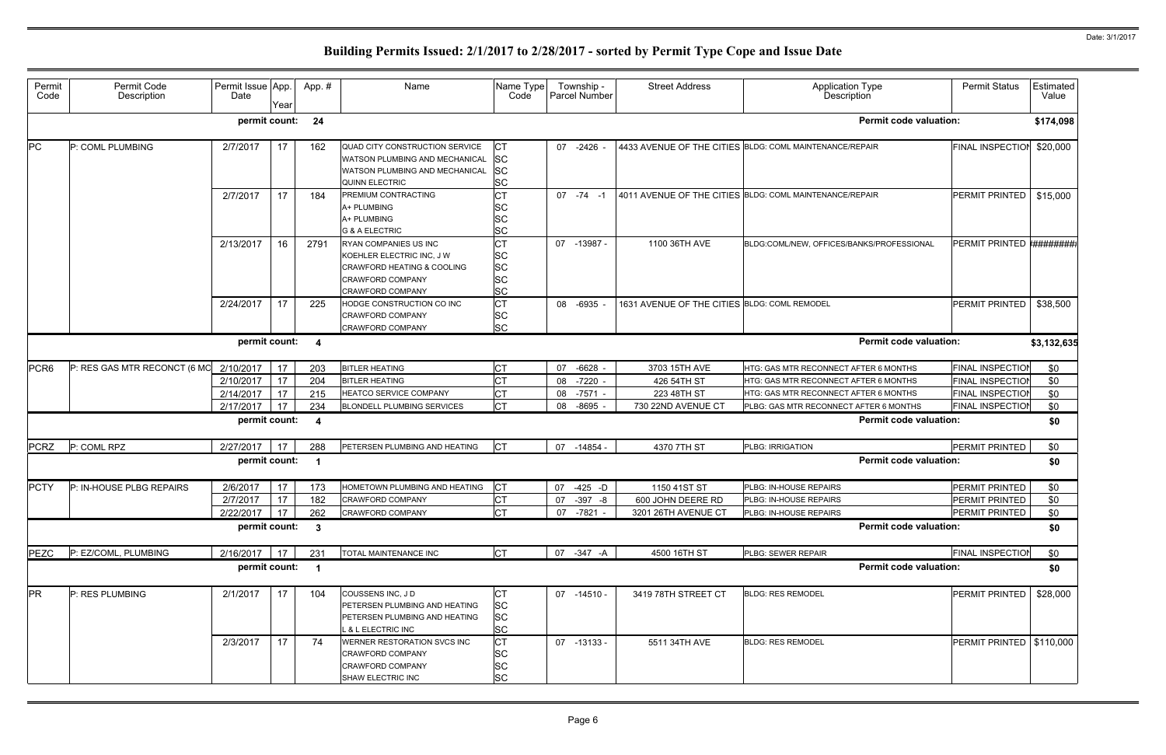| Permit<br>Code   | Permit Code<br>Description   | Permit Issue App.<br>Date | Year     | App.#                   | Name                                                                                                                            | Name Type<br>Code                                             | Township -<br>Parcel Number | <b>Street Address</b>                        | Application Type<br>Description                                                 | <b>Permit Status</b>                               | Estimated<br>Value |
|------------------|------------------------------|---------------------------|----------|-------------------------|---------------------------------------------------------------------------------------------------------------------------------|---------------------------------------------------------------|-----------------------------|----------------------------------------------|---------------------------------------------------------------------------------|----------------------------------------------------|--------------------|
|                  |                              | permit count:             |          | 24                      |                                                                                                                                 |                                                               |                             |                                              | <b>Permit code valuation:</b>                                                   |                                                    | \$174,098          |
| PC               | P: COML PLUMBING             | 2/7/2017                  | 17       | 162                     | QUAD CITY CONSTRUCTION SERVICE<br>WATSON PLUMBING AND MECHANICAL<br>WATSON PLUMBING AND MECHANICAL<br><b>QUINN ELECTRIC</b>     | IСТ<br><b>SC</b><br><b>SC</b><br><b>SC</b>                    | 07 -2426                    |                                              | 4433 AVENUE OF THE CITIES BLDG: COML MAINTENANCE/REPAIR                         | <b>FINAL INSPECTION</b>                            | \$20,000           |
|                  |                              | 2/7/2017                  | 17       | 184                     | PREMIUM CONTRACTING<br>A+ PLUMBING<br>A+ PLUMBING<br><b>G &amp; A ELECTRIC</b>                                                  | <b>CT</b><br><b>SC</b><br><b>SC</b><br><b>SC</b>              | $07 - 74 - 1$               |                                              | 4011 AVENUE OF THE CITIES BLDG: COML MAINTENANCE/REPAIR                         | PERMIT PRINTED                                     | \$15,000           |
|                  |                              | 2/13/2017                 | 16       | 2791                    | RYAN COMPANIES US INC<br>KOEHLER ELECTRIC INC, J W<br>CRAWFORD HEATING & COOLING<br>CRAWFORD COMPANY<br><b>CRAWFORD COMPANY</b> | <b>CT</b><br><b>SC</b><br><b>SC</b><br><b>SC</b><br><b>SC</b> | 07 -13987 -                 | 1100 36TH AVE                                | BLDG:COML/NEW, OFFICES/BANKS/PROFESSIONAL                                       | PERMIT PRINTED <b>*#########</b>                   |                    |
|                  |                              | 2/24/2017                 | 17       | 225                     | HODGE CONSTRUCTION CO INC<br><b>CRAWFORD COMPANY</b><br><b>CRAWFORD COMPANY</b>                                                 | <b>CT</b><br><b>SC</b><br><b>SC</b>                           | 08 -6935                    | 1631 AVENUE OF THE CITIES BLDG: COML REMODEL |                                                                                 | PERMIT PRINTED                                     | \$38,500           |
|                  |                              | permit count:             |          | $\overline{4}$          |                                                                                                                                 |                                                               |                             |                                              | <b>Permit code valuation:</b>                                                   |                                                    | \$3,132,635        |
| PCR <sub>6</sub> | P: RES GAS MTR RECONCT (6 MO | 2/10/2017<br>2/10/2017    | 17<br>17 | 203<br>204              | <b>BITLER HEATING</b><br><b>BITLER HEATING</b>                                                                                  | <b>CT</b>                                                     | 07 -6628<br>08 -7220 -      | 3703 15TH AVE<br>426 54TH ST                 | HTG: GAS MTR RECONNECT AFTER 6 MONTHS<br>HTG: GAS MTR RECONNECT AFTER 6 MONTHS  | <b>FINAL INSPECTION</b><br><b>FINAL INSPECTION</b> | \$0<br>\$0         |
|                  |                              | 2/14/2017<br>2/17/2017    | 17<br>17 | 215<br>234              | HEATCO SERVICE COMPANY<br><b>BLONDELL PLUMBING SERVICES</b>                                                                     | <b>CT</b><br><b>CT</b>                                        | 08 -7571 -<br>08 -8695      | 223 48TH ST<br>730 22ND AVENUE CT            | HTG: GAS MTR RECONNECT AFTER 6 MONTHS<br>PLBG: GAS MTR RECONNECT AFTER 6 MONTHS | <b>FINAL INSPECTION</b><br><b>FINAL INSPECTIOI</b> | \$0<br>\$0         |
|                  |                              | permit count:             |          | $\overline{\mathbf{4}}$ |                                                                                                                                 |                                                               |                             |                                              | <b>Permit code valuation:</b>                                                   |                                                    | \$0                |
| <b>PCRZ</b>      | P: COML RPZ                  | 2/27/2017                 | 17       | 288                     | PETERSEN PLUMBING AND HEATING                                                                                                   | $ _{\rm CT}$                                                  | 07 -14854 -                 | 4370 7TH ST                                  | PLBG: IRRIGATION                                                                | PERMIT PRINTED                                     | \$0                |
|                  |                              | permit count:             |          | - 1                     |                                                                                                                                 |                                                               |                             |                                              | <b>Permit code valuation:</b>                                                   |                                                    | \$0                |
| <b>PCTY</b>      | P: IN-HOUSE PLBG REPAIRS     | 2/6/2017                  | 17       | 173                     | HOMETOWN PLUMBING AND HEATING                                                                                                   | IСТ                                                           | 07<br>-425 -D               | 1150 41ST ST                                 | PLBG: IN-HOUSE REPAIRS                                                          | PERMIT PRINTED                                     | \$0                |
|                  |                              | 2/7/2017                  | 17       | 182                     | <b>CRAWFORD COMPANY</b>                                                                                                         | СT                                                            | 07 -397 -8                  | 600 JOHN DEERE RD                            | PLBG: IN-HOUSE REPAIRS                                                          | PERMIT PRINTED                                     | \$0                |
|                  |                              | 2/22/2017                 | 17       | 262                     | <b>CRAWFORD COMPANY</b>                                                                                                         | <b>CT</b>                                                     | 07 -7821 -                  | 3201 26TH AVENUE CT                          | PLBG: IN-HOUSE REPAIRS                                                          | PERMIT PRINTED                                     | \$0                |
|                  |                              | permit count:             |          | $\overline{\mathbf{3}}$ |                                                                                                                                 |                                                               |                             |                                              | <b>Permit code valuation:</b>                                                   |                                                    | \$0                |
| <b>PEZC</b>      | P: EZ/COML, PLUMBING         | 2/16/2017                 | 17       | 231                     | <b>TOTAL MAINTENANCE INC</b>                                                                                                    | <b>CT</b>                                                     | 07 -347 -A                  | 4500 16TH ST                                 | PLBG: SEWER REPAIR                                                              | <b>FINAL INSPECTION</b>                            | \$0                |
|                  |                              | permit count:             |          | $\overline{\mathbf{1}}$ |                                                                                                                                 |                                                               |                             |                                              | <b>Permit code valuation:</b>                                                   |                                                    | \$0                |
| <b>PR</b>        | P: RES PLUMBING              | 2/1/2017                  | 17       | 104                     | COUSSENS INC, JD<br>PETERSEN PLUMBING AND HEATING<br>PETERSEN PLUMBING AND HEATING<br>. & L ELECTRIC INC                        | СT<br><b>SC</b><br><b>SC</b><br><b>SC</b>                     | 07 -14510 -                 | 3419 78TH STREET CT                          | <b>BLDG: RES REMODEL</b>                                                        | PERMIT PRINTED                                     | \$28,000           |
|                  |                              | 2/3/2017                  | 17       | 74                      | WERNER RESTORATION SVCS INC<br>CRAWFORD COMPANY<br><b>CRAWFORD COMPANY</b><br>SHAW ELECTRIC INC                                 | <b>CT</b><br><b>SC</b><br><b>SC</b><br><b>SC</b>              | 07 -13133 -                 | 5511 34TH AVE                                | <b>BLDG: RES REMODEL</b>                                                        | PERMIT PRINTED   \$110,000                         |                    |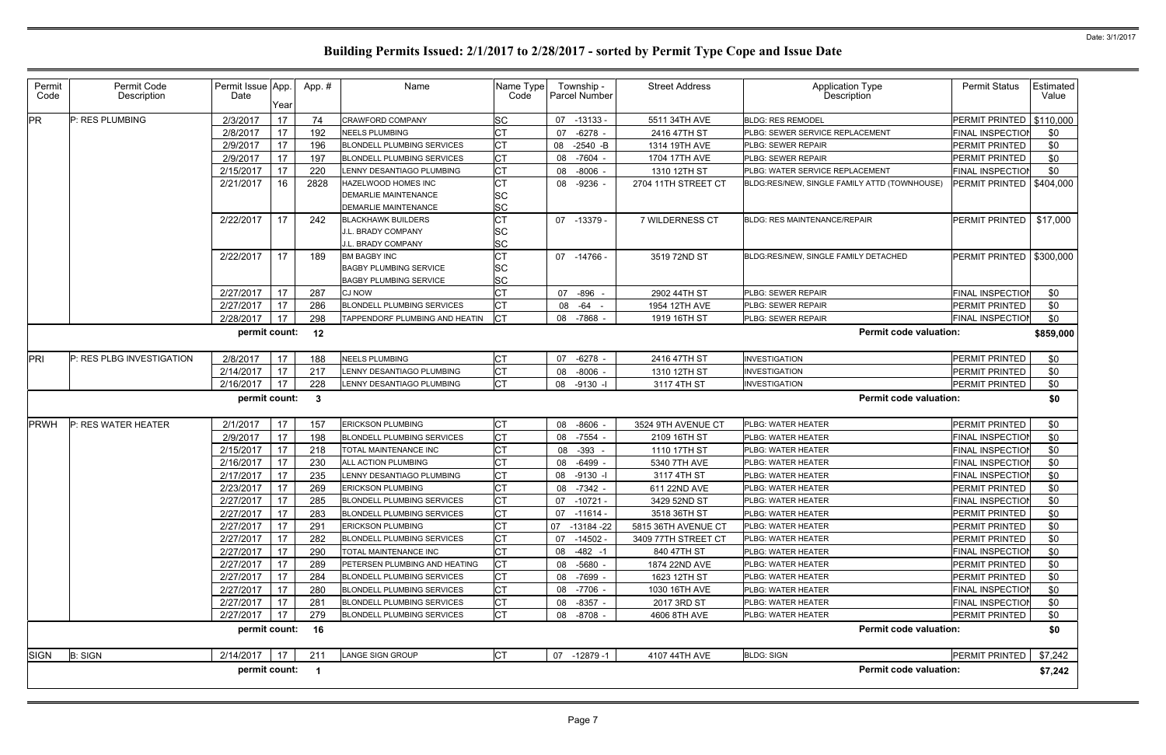| Permit<br>Code | Permit Code<br>Description | Permit Issue App.<br>Date | Year | App.#                   | Name                                                                                  | Name Type<br>Code             |    | Township -<br>Parcel Number | <b>Street Address</b> | Application Type<br>Description              | <b>Permit Status</b>       | Estimated<br>Value |
|----------------|----------------------------|---------------------------|------|-------------------------|---------------------------------------------------------------------------------------|-------------------------------|----|-----------------------------|-----------------------|----------------------------------------------|----------------------------|--------------------|
| PR             | P: RES PLUMBING            | 2/3/2017                  | 17   | 74                      | <b>CRAWFORD COMPANY</b>                                                               | <b>SC</b>                     | 07 | $-13133 -$                  | 5511 34TH AVE         | <b>BLDG: RES REMODEL</b>                     | PERMIT PRINTED   \$110,000 |                    |
|                |                            | 2/8/2017                  | 17   | 192                     | <b>NEELS PLUMBING</b>                                                                 | <b>CT</b>                     | 07 | $-6278$                     | 2416 47TH ST          | PLBG: SEWER SERVICE REPLACEMENT              | FINAL INSPECTION           | \$0                |
|                |                            | 2/9/2017                  | 17   | 196                     | <b>BLONDELL PLUMBING SERVICES</b>                                                     | <b>CT</b>                     | 08 | $-2540 - B$                 | 1314 19TH AVE         | PLBG: SEWER REPAIR                           | PERMIT PRINTED             | \$0                |
|                |                            | 2/9/2017                  | 17   | 197                     | <b>BLONDELL PLUMBING SERVICES</b>                                                     | <b>CT</b>                     | 08 | $-7604$                     | 1704 17TH AVE         | PLBG: SEWER REPAIR                           | PERMIT PRINTED             | \$0                |
|                |                            | 2/15/2017                 | 17   | 220                     | LENNY DESANTIAGO PLUMBING                                                             | <b>CT</b>                     | 08 | $-8006$                     | 1310 12TH ST          | PLBG: WATER SERVICE REPLACEMENT              | FINAL INSPECTION           | \$0                |
|                |                            | 2/21/2017                 | 16   | 2828                    | HAZELWOOD HOMES INC<br><b>DEMARLIE MAINTENANCE</b><br><b>DEMARLIE MAINTENANCE</b>     | <b>CT</b><br><b>SC</b><br>SC  |    | 08 -9236 -                  | 2704 11TH STREET CT   | BLDG:RES/NEW, SINGLE FAMILY ATTD (TOWNHOUSE) | PERMIT PRINTED   \$404,000 |                    |
|                |                            | 2/22/2017                 | 17   | 242                     | <b>BLACKHAWK BUILDERS</b><br>J.L. BRADY COMPANY<br>J.L. BRADY COMPANY                 | <b>CT</b><br>ΙSC<br><b>SC</b> |    | 07 -13379 -                 | 7 WILDERNESS CT       | <b>BLDG: RES MAINTENANCE/REPAIR</b>          | PERMIT PRINTED             | \$17,000           |
|                |                            | 2/22/2017                 | 17   | 189                     | <b>BM BAGBY INC</b><br><b>BAGBY PLUMBING SERVICE</b><br><b>BAGBY PLUMBING SERVICE</b> | <b>CT</b><br>SC<br><b>SC</b>  |    | 07 -14766 -                 | 3519 72ND ST          | BLDG:RES/NEW, SINGLE FAMILY DETACHED         | PERMIT PRINTED   \$300,000 |                    |
|                |                            | 2/27/2017                 | 17   | 287                     | <b>CJ NOW</b>                                                                         | <b>CT</b>                     | 07 | $-896 -$                    | 2902 44TH ST          | PLBG: SEWER REPAIR                           | <b>FINAL INSPECTION</b>    | \$0                |
|                |                            | 2/27/2017                 | 17   | 286                     | <b>BLONDELL PLUMBING SERVICES</b>                                                     | <b>CT</b>                     | 08 | -64<br>$\sim$               | 1954 12TH AVE         | PLBG: SEWER REPAIR                           | PERMIT PRINTED             | \$0                |
|                |                            | 2/28/2017                 | 17   | 298                     | TAPPENDORF PLUMBING AND HEATIN                                                        | $ _{CT}$                      |    | 08 -7868                    | 1919 16TH ST          | PLBG: SEWER REPAIR                           | <b>FINAL INSPECTION</b>    | \$0                |
|                |                            | permit count:             |      | 12                      |                                                                                       |                               |    |                             |                       | <b>Permit code valuation:</b>                |                            | \$859,000          |
| PRI            | P: RES PLBG INVESTIGATION  | 2/8/2017                  | 17   | 188                     | <b>NEELS PLUMBING</b>                                                                 | <b>CT</b>                     | 07 | $-6278$                     | 2416 47TH ST          | <b>INVESTIGATION</b>                         | PERMIT PRINTED             | \$0                |
|                |                            | 2/14/2017                 | 17   | 217                     | LENNY DESANTIAGO PLUMBING                                                             | <b>CT</b>                     | 08 | $-8006$                     | 1310 12TH ST          | <b>INVESTIGATION</b>                         | PERMIT PRINTED             | \$0                |
|                |                            | 2/16/2017                 | 17   | 228                     | LENNY DESANTIAGO PLUMBING                                                             | <b>CT</b>                     | 08 | $-9130 -$                   | 3117 4TH ST           | <b>INVESTIGATION</b>                         | PERMIT PRINTED             | \$0                |
|                |                            | permit count:             |      | $\overline{\mathbf{3}}$ |                                                                                       |                               |    |                             |                       | <b>Permit code valuation:</b>                |                            | \$0                |
| PRWH           | P: RES WATER HEATER        | 2/1/2017                  | 17   | 157                     | <b>ERICKSON PLUMBING</b>                                                              | IСТ                           | 08 | $-8606 -$                   | 3524 9TH AVENUE CT    | PLBG: WATER HEATER                           | PERMIT PRINTED             | \$0                |
|                |                            | 2/9/2017                  | 17   | 198                     | BLONDELL PLUMBING SERVICES                                                            | <b>CT</b>                     | 08 | -7554                       | 2109 16TH ST          | PLBG: WATER HEATER                           | <b>FINAL INSPECTION</b>    | \$0                |
|                |                            | 2/15/2017                 | 17   | 218                     | TOTAL MAINTENANCE INC                                                                 | <b>CT</b>                     | 08 | $-393 -$                    | 1110 17TH ST          | PLBG: WATER HEATER                           | <b>FINAL INSPECTION</b>    | \$0                |
|                |                            | 2/16/2017                 | 17   | 230                     | ALL ACTION PLUMBING                                                                   | <b>CT</b>                     | 08 | -6499                       | 5340 7TH AVE          | PLBG: WATER HEATER                           | <b>FINAL INSPECTION</b>    | \$0                |
|                |                            | 2/17/2017                 | 17   | 235                     | LENNY DESANTIAGO PLUMBING                                                             | <b>CT</b>                     | 08 | $-9130 -$                   | 3117 4TH ST           | PLBG: WATER HEATER                           | <b>FINAL INSPECTION</b>    | \$0                |
|                |                            | 2/23/2017                 | 17   | 269                     | <b>ERICKSON PLUMBING</b>                                                              | <b>CT</b>                     | 08 | $-7342 -$                   | 611 22ND AVE          | PLBG: WATER HEATER                           | PERMIT PRINTED             | \$0                |
|                |                            | 2/27/2017                 | 17   | 285                     | BLONDELL PLUMBING SERVICES                                                            | Iст                           |    | 07 -10721 -                 | 3429 52ND ST          | PLBG: WATER HEATER                           | FINAL INSPECTION           | \$0                |
|                |                            | 2/27/2017                 | 17   | 283                     | <b>BLONDELL PLUMBING SERVICES</b>                                                     | СT                            |    | 07 -11614 -                 | 3518 36TH ST          | PLBG: WATER HEATER                           | PERMIT PRINTED             | \$0                |
|                |                            | 2/27/2017                 | 17   | 291                     | <b>ERICKSON PLUMBING</b>                                                              | <b>CT</b>                     |    | 07 -13184 -22               | 5815 36TH AVENUE CT   | PLBG: WATER HEATER                           | PERMIT PRINTED             | \$0                |
|                |                            | 2/27/2017                 | 17   | 282                     | <b>BLONDELL PLUMBING SERVICES</b>                                                     | СT                            | 07 | -14502 -                    | 3409 77TH STREET CT   | PLBG: WATER HEATER                           | PERMIT PRINTED             | \$0                |
|                |                            | 2/27/2017                 | 17   | 290                     | TOTAL MAINTENANCE INC                                                                 | <b>CT</b>                     |    | 08 -482 -1                  | 840 47TH ST           | PLBG: WATER HEATER                           | <b>FINAL INSPECTION</b>    | \$0                |
|                |                            | 2/27/2017                 | 17   | 289                     | PETERSEN PLUMBING AND HEATING                                                         | <b>CT</b>                     |    | 08 -5680 -                  | 1874 22ND AVE         | PLBG: WATER HEATER                           | PERMIT PRINTED             | \$0                |
|                |                            | 2/27/2017                 | 17   | 284                     | <b>BLONDELL PLUMBING SERVICES</b>                                                     | <b>CT</b>                     |    | 08 -7699 -                  | 1623 12TH ST          | PLBG: WATER HEATER                           | PERMIT PRINTED             | \$0                |
|                |                            | 2/27/2017                 | 17   | 280                     | <b>BLONDELL PLUMBING SERVICES</b>                                                     | <b>CT</b>                     |    | 08 -7706 -                  | 1030 16TH AVE         | PLBG: WATER HEATER                           | <b>FINAL INSPECTION</b>    | \$0                |
|                |                            | 2/27/2017                 | 17   | 281                     | <b>BLONDELL PLUMBING SERVICES</b>                                                     | <b>CT</b>                     |    | 08 -8357 -                  | 2017 3RD ST           | PLBG: WATER HEATER                           | <b>FINAL INSPECTION</b>    | \$0                |
|                |                            | 2/27/2017                 | 17   | 279                     | <b>BLONDELL PLUMBING SERVICES</b>                                                     | <b>CT</b>                     |    | 08 -8708 -                  | 4606 8TH AVE          | PLBG: WATER HEATER                           | PERMIT PRINTED             | \$0                |
|                |                            | permit count: 16          |      |                         |                                                                                       |                               |    |                             |                       | <b>Permit code valuation:</b>                |                            | \$0                |
| <b>SIGN</b>    | <b>B: SIGN</b>             | 2/14/2017                 | 17   | 211                     | LANGE SIGN GROUP                                                                      | <b>CT</b>                     |    | 07 -12879 -1                | 4107 44TH AVE         | <b>BLDG: SIGN</b>                            | PERMIT PRINTED             | \$7,242            |
|                |                            | permit count:             |      | $\overline{\mathbf{1}}$ |                                                                                       |                               |    |                             |                       | <b>Permit code valuation:</b>                |                            | \$7,242            |